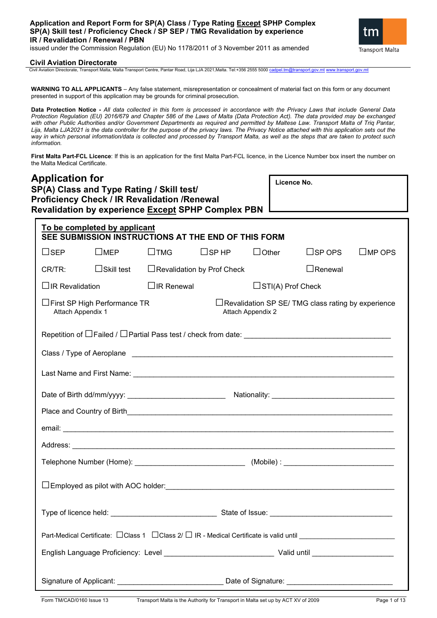

## **Civil Aviation Directorate**

Civil Aviation Directorate, Transport Malta, Malta Transport Centre, Pantar Road, Lija LJA 2021, Malta. Tel:+356 2555 5000 [cadpel.tm@transport.gov.mt](mailto:cadpel.tm@transport.gov.mt) www.transport.gov.mt

**WARNING TO ALL APPLICANTS** – Any false statement, misrepresentation or concealment of material fact on this form or any document presented in support of this application may be grounds for criminal prosecution.

**Data Protection Notice -** *All data collected in this form is processed in accordance with the Privacy Laws that include General Data Protection Regulation (EU) 2016/679 and Chapter 586 of the Laws of Malta (Data Protection Act). The data provided may be exchanged with other Public Authorities and/or Government Departments as required and permitted by Maltese Law. Transport Malta of Triq Pantar,*  Lija, Malta LJA2021 is the data controller for the purpose of the privacy laws. The Privacy Notice attached with this application sets out the *way in which personal information/data is collected and processed by Transport Malta, as well as the steps that are taken to protect such information.*

**First Malta Part-FCL Licence**: If this is an application for the first Malta Part-FCL licence, in the Licence Number box insert the number on the Malta Medical Certificate.

| <b>Application for</b><br>SP(A) Class and Type Rating / Skill test/                                                   | Licence No.                                         |                   |                          |                                                          |                  |
|-----------------------------------------------------------------------------------------------------------------------|-----------------------------------------------------|-------------------|--------------------------|----------------------------------------------------------|------------------|
| <b>Proficiency Check / IR Revalidation / Renewal</b><br><b>Revalidation by experience Except SPHP Complex PBN</b>     |                                                     |                   |                          |                                                          |                  |
| To be completed by applicant<br>SEE SUBMISSION INSTRUCTIONS AT THE END OF THIS FORM                                   |                                                     |                   |                          |                                                          |                  |
| $\square$ MEP<br>$\Box$ SEP                                                                                           | $\square$ TMG $\square$ SPHP                        |                   | $\Box$ Other             | $\square$ SP OPS                                         | $\square$ MP OPS |
| CR/TR:                                                                                                                | $\Box$ Skill test $\Box$ Revalidation by Prof Check |                   |                          | $\Box$ Renewal                                           |                  |
| $\Box$ IR Revalidation                                                                                                | $\Box$ IR Renewal                                   |                   | $\Box$ STI(A) Prof Check |                                                          |                  |
| □First SP High Performance TR<br>Attach Appendix 1                                                                    |                                                     | Attach Appendix 2 |                          | $\Box$ Revalidation SP SE/TMG class rating by experience |                  |
|                                                                                                                       |                                                     |                   |                          |                                                          |                  |
|                                                                                                                       |                                                     |                   |                          |                                                          |                  |
|                                                                                                                       |                                                     |                   |                          |                                                          |                  |
|                                                                                                                       |                                                     |                   |                          |                                                          |                  |
|                                                                                                                       |                                                     |                   |                          |                                                          |                  |
|                                                                                                                       |                                                     |                   |                          |                                                          |                  |
|                                                                                                                       |                                                     |                   |                          |                                                          |                  |
|                                                                                                                       |                                                     |                   |                          |                                                          |                  |
|                                                                                                                       |                                                     |                   |                          |                                                          |                  |
|                                                                                                                       |                                                     |                   |                          |                                                          |                  |
| Part-Medical Certificate: □ Class 1 □ Class 2/ □ IR - Medical Certificate is valid until ____________________________ |                                                     |                   |                          |                                                          |                  |
|                                                                                                                       |                                                     |                   |                          |                                                          |                  |
| Signature of Applicant: ___________________________________ Date of Signature: _______________________________        |                                                     |                   |                          |                                                          |                  |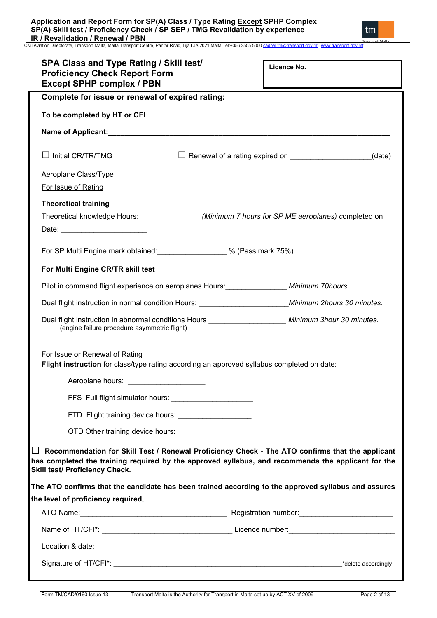| <b>SPA Class and Type Rating / Skill test/</b><br><b>Proficiency Check Report Form</b><br><b>Except SPHP complex / PBN</b>   | Licence No.                                            |
|------------------------------------------------------------------------------------------------------------------------------|--------------------------------------------------------|
| Complete for issue or renewal of expired rating:                                                                             |                                                        |
| To be completed by HT or CFI                                                                                                 |                                                        |
|                                                                                                                              |                                                        |
| $\Box$ Initial CR/TR/TMG                                                                                                     | $\Box$ Renewal of a rating expired on $\Box$<br>(date) |
|                                                                                                                              |                                                        |
| For Issue of Rating                                                                                                          |                                                        |
| <b>Theoretical training</b>                                                                                                  |                                                        |
| Theoretical knowledge Hours:__________________(Minimum 7 hours for SP ME aeroplanes) completed on<br>Date: <u>Date:</u>      |                                                        |
| For SP Multi Engine mark obtained: 30 % (Pass mark 75%)                                                                      |                                                        |
| For Multi Engine CR/TR skill test                                                                                            |                                                        |
| Pilot in command flight experience on aeroplanes Hours: _______________ Minimum 70hours.                                     |                                                        |
| Dual flight instruction in normal condition Hours: Minimum 2hours 30 minutes.                                                |                                                        |
| (engine failure procedure asymmetric flight)                                                                                 |                                                        |
|                                                                                                                              |                                                        |
| For Issue or Renewal of Rating<br>Flight instruction for class/type rating according an approved syllabus completed on date: |                                                        |
| Aeroplane hours: _____________________                                                                                       |                                                        |
|                                                                                                                              |                                                        |
| FTD Flight training device hours: _____________________                                                                      |                                                        |

| The ATO confirms that the candidate has been trained according to the approved syllabus and assures |                      |
|-----------------------------------------------------------------------------------------------------|----------------------|
| the level of proficiency required.                                                                  |                      |
| ATO Name:                                                                                           | Registration number: |

|                       | . .             |                     |
|-----------------------|-----------------|---------------------|
| Name of HT/CFI*:      | Licence number: |                     |
| Location & date:      |                 |                     |
| Signature of HT/CFI*: |                 | *delete accordingly |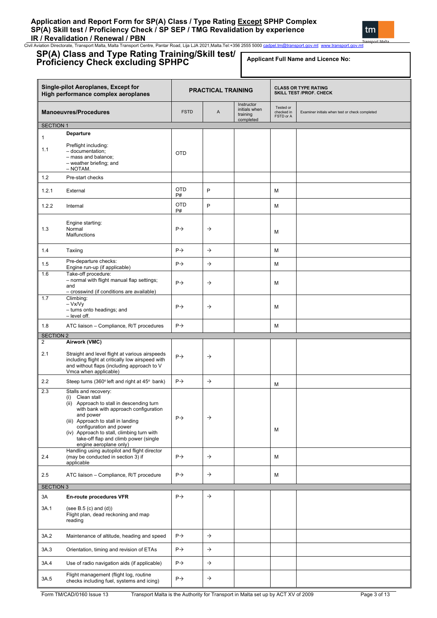# **Application and Report Form for SP(A) Class / Type Rating Except SPHP Complex SP(A) Skill test / Proficiency Check / SP SEP / TMG Revalidation by experience IR / Revalidation / Renewal / PBN**

tm

Civil Aviation Directorate, Transport Malta, Malta Transport Centre, Pantar Road, Lija LJA 2021,Malta.Tel:+356 2555 5000 ca

#### **SP(A) Class and Type Rating Training/Skill test/ Proficiency Check excluding SPHPC Single-pilot Aeroplanes, Except for High performance complex aeroplanes PRACTICAL TRAINING CONSTRAINING SKILL TEST /PROF. CHECK Manoeuvres/Procedures FICE A** Instructor initials when training comple Tested or checked in FSTD or A Examiner initials when test or check completed SECTION 1 1 1.1 **Departure** Preflight including: – documentation; – mass and balance; – weather briefing; and – NOTAM. OTD 1.2 Pre-start checks 1.2.1 External OTD P# P M 1.2.2 Internal OTD P# P M 1.3 Engine starting: Normal **Malfunctions**  $P \rightarrow$   $\rightarrow$   $M$ 1.4 Taxiing  $\begin{array}{|c|c|c|c|c|c|}\n\hline\n1.4 & Taxiing & & & \n\end{array}$ 1.5 Pre-departure checks: Pre-departure checks:<br>
Engine run-up (if applicable)  $\left|\begin{array}{ccc} P \rightarrow \\ \end{array}\right| \rightarrow \left|\begin{array}{ccc} \end{array}\right|$  M 1.6 Take-off procedure: – normal with flight manual flap settings; and – crosswind (if conditions are available)  $\mathsf{P}\rightarrow$   $\qquad$   $\qquad$   $\qquad$  M 1.7 Climbing: – Vx/Vy – turns onto headings; and – level off.  $\mathsf{P}\rightarrow$   $\qquad$   $\qquad$   $\qquad$  M 1.8 ATC liaison – Compliance, R/T procedures P M SECTION 2 2 2.1 **Airwork (VMC)** Straight and level flight at various airspeeds including flight at critically low airspeed with and without flaps (including approach to V Vmca when applicable)  $P \rightarrow$   $\rightarrow$ 2.2 Steep turns (360° left and right at 45° bank)  $\left| P \rightarrow \right|$   $\rightarrow$   $\left| A \right|$ 2.3 Stalls and recovery: (i) Clean stall (ii) Approach to stall in descending turn with bank with approach configuration and power (iii) Approach to stall in landing configuration and power (iv) Approach to stall, climbing turn with take-off flap and climb power (single engine aeroplane only)  $P \rightarrow$ M  $24$ Handling using autopilot and flight director (may be conducted in section 3) if applicable  $P \rightarrow$   $\rightarrow$   $\parallel$   $\rightarrow$   $\parallel$   $\parallel$   $\parallel$   $\parallel$   $\parallel$ 2.5 ATC liaison – Compliance, R/T procedure  $\begin{array}{|c|c|c|c|c|c|c|c|c|} \hline \end{array}$   $\begin{array}{c|c|c|c} \text{A} & \text{B} & \text{C} & \text{A} & \text{B} & \text{B} & \text{B} & \text{B} & \text{C} & \text{A} & \text{B} & \text{B} & \text{B} & \text{B} & \text{B} & \text{B} & \text{B} & \text{B} & \text{B} & \text{B} & \text{B} & \$ SECTION 3 3A 3A.1 **En-route procedures VFR** (see B.5 (c) and (d)) Flight plan, dead reckoning and map reading  $P \rightarrow$   $\rightarrow$ 3A.2 Maintenance of altitude, heading and speed  $\begin{array}{ccc} | & \rightarrow \\ \end{array}$ 3A.3 Orientation, timing and revision of ETAs  $\begin{array}{|c|c|c|c|c|c|c|c|c|}\n\end{array}$   $\rightarrow$ 3A.4 Use of radio navigation aids (if applicable)  $\begin{array}{|c|c|c|c|c|}\n\end{array}$  P  $\rightarrow$ 3A.5 Flight management (flight log, routine **Applicant Full Name and Licence No:**

 $\left\{\begin{array}{c} \text{equation:} \ \text{the class } \text{invariant (light log, volume)} \ \text{the class } \text{invariant (light log, volume)} \end{array}\right\} \Rightarrow$ 

Form TM/CAD/0160 Issue 13 Transport Malta is the Authority for Transport in Malta set up by ACT XV of 2009 Page 3 of 13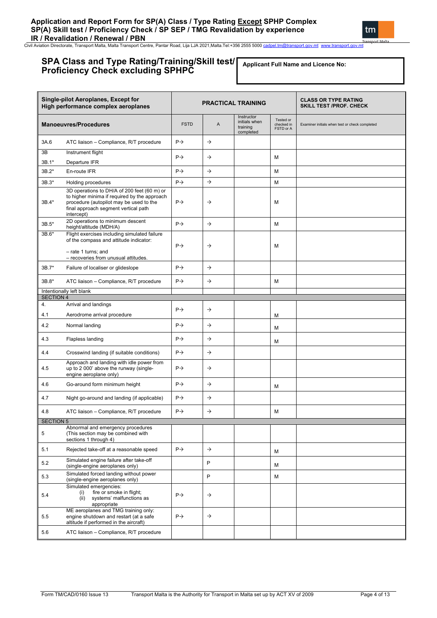# **SPA Class and Type Rating/Training/Skill test/ Proficiency Check excluding SPHPC**

**Applicant Full Name and Licence No:**

|                  | Single-pilot Aeroplanes, Except for<br>High performance complex aeroplanes                                                                                                                   | <b>PRACTICAL TRAINING</b> |               |                                                      | <b>CLASS OR TYPE RATING</b><br><b>SKILL TEST /PROF. CHECK</b> |                                                |
|------------------|----------------------------------------------------------------------------------------------------------------------------------------------------------------------------------------------|---------------------------|---------------|------------------------------------------------------|---------------------------------------------------------------|------------------------------------------------|
|                  | <b>Manoeuvres/Procedures</b>                                                                                                                                                                 | <b>FSTD</b>               | A             | Instructor<br>initials when<br>training<br>completed | Tested or<br>checked in<br>FSTD or A                          | Examiner initials when test or check completed |
| 3A.6             | ATC liaison - Compliance, R/T procedure                                                                                                                                                      | $P \rightarrow$           | $\rightarrow$ |                                                      |                                                               |                                                |
| 3B               | Instrument flight                                                                                                                                                                            | $P \rightarrow$           | $\rightarrow$ |                                                      |                                                               |                                                |
| 3B.1*            | Departure IFR                                                                                                                                                                                |                           |               |                                                      | м                                                             |                                                |
| $3B.2*$          | En-route IFR                                                                                                                                                                                 | $P \rightarrow$           | $\rightarrow$ |                                                      | M                                                             |                                                |
| $3B.3*$          | Holding procedures                                                                                                                                                                           | $P \rightarrow$           | $\rightarrow$ |                                                      | M                                                             |                                                |
| 3B.4*            | 3D operations to DH/A of 200 feet (60 m) or<br>to higher minima if required by the approach<br>procedure (autopilot may be used to the<br>final approach segment vertical path<br>intercept) | $P\rightarrow$            | $\rightarrow$ |                                                      | M                                                             |                                                |
| $3B.5*$          | 2D operations to minimum descent<br>height/altitude (MDH/A)                                                                                                                                  | $P \rightarrow$           | $\rightarrow$ |                                                      | M                                                             |                                                |
| 3B.6*            | Flight exercises including simulated failure<br>of the compass and attitude indicator:                                                                                                       |                           |               |                                                      |                                                               |                                                |
|                  | - rate 1 turns; and<br>- recoveries from unusual attitudes.                                                                                                                                  | $P \rightarrow$           | $\rightarrow$ |                                                      | M                                                             |                                                |
| $3B.7*$          | Failure of localiser or glideslope                                                                                                                                                           | $P \rightarrow$           | $\rightarrow$ |                                                      |                                                               |                                                |
| 3B.8*            | ATC liaison - Compliance, R/T procedure                                                                                                                                                      | $P \rightarrow$           | $\rightarrow$ |                                                      | М                                                             |                                                |
| <b>SECTION 4</b> | Intentionally left blank                                                                                                                                                                     |                           |               |                                                      |                                                               |                                                |
| 4.               | Arrival and landings                                                                                                                                                                         |                           |               |                                                      |                                                               |                                                |
| 4.1              | Aerodrome arrival procedure                                                                                                                                                                  | $P \rightarrow$           | $\rightarrow$ |                                                      | М                                                             |                                                |
| 4.2              | Normal landing                                                                                                                                                                               | $P \rightarrow$           | $\rightarrow$ |                                                      | м                                                             |                                                |
| 4.3              | Flapless landing                                                                                                                                                                             | $P \rightarrow$           | $\rightarrow$ |                                                      | м                                                             |                                                |
| 4.4              | Crosswind landing (if suitable conditions)                                                                                                                                                   | $P \rightarrow$           | $\rightarrow$ |                                                      |                                                               |                                                |
| 4.5              | Approach and landing with idle power from<br>up to 2 000' above the runway (single-<br>engine aeroplane only)                                                                                | $P \rightarrow$           | $\rightarrow$ |                                                      |                                                               |                                                |
| 4.6              | Go-around form minimum height                                                                                                                                                                | $P\rightarrow$            | $\rightarrow$ |                                                      | м                                                             |                                                |
| 4.7              | Night go-around and landing (if applicable)                                                                                                                                                  | $P \rightarrow$           | $\rightarrow$ |                                                      |                                                               |                                                |
| 4.8              | ATC liaison - Compliance, R/T procedure                                                                                                                                                      | $P \rightarrow$           | $\rightarrow$ |                                                      | M                                                             |                                                |
| <b>SECTION 5</b> |                                                                                                                                                                                              |                           |               |                                                      |                                                               |                                                |
| 5                | Abnormal and emergency procedures<br>(This section may be combined with<br>sections 1 through 4)                                                                                             |                           |               |                                                      |                                                               |                                                |
| 5.1              | Rejected take-off at a reasonable speed                                                                                                                                                      | $P \rightarrow$           | $\rightarrow$ |                                                      | м                                                             |                                                |
| 5.2              | Simulated engine failure after take-off<br>(single-engine aeroplanes only)                                                                                                                   |                           | P             |                                                      | м                                                             |                                                |
| 5.3              | Simulated forced landing without power<br>(single-engine aeroplanes only)                                                                                                                    |                           | P             |                                                      | М                                                             |                                                |
| 5.4              | Simulated emergencies:<br>fire or smoke in flight;<br>(i)<br>(ii) systems' malfunctions as<br>appropriate                                                                                    | $P \rightarrow$           | $\rightarrow$ |                                                      |                                                               |                                                |
| 5.5              | ME aeroplanes and TMG training only:<br>engine shutdown and restart (at a safe<br>altitude if performed in the aircraft)                                                                     | $P \rightarrow$           | $\rightarrow$ |                                                      |                                                               |                                                |
| 5.6              | ATC liaison - Compliance, R/T procedure                                                                                                                                                      |                           |               |                                                      |                                                               |                                                |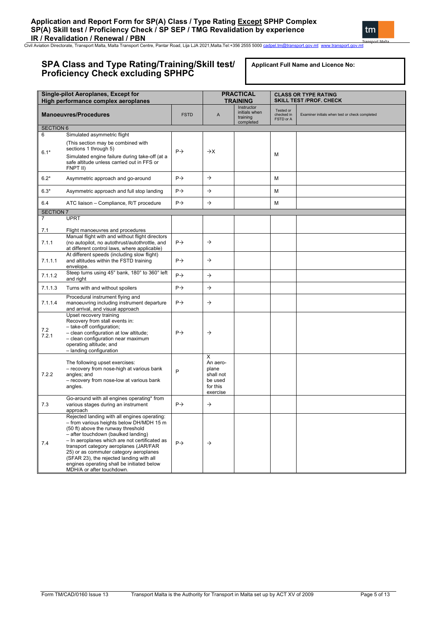# **SPA Class and Type Rating/Training/Skill test/ Proficiency Check excluding SPHPC**

**Applicant Full Name and Licence No:**

|                  | <b>Single-pilot Aeroplanes, Except for</b><br>High performance complex aeroplanes                                                                                                                                                                                                                                                                                                                                                 |                 |                                                                        | <b>PRACTICAL</b><br><b>TRAINING</b>                  |                                      | <b>CLASS OR TYPE RATING</b><br><b>SKILL TEST /PROF. CHECK</b> |
|------------------|-----------------------------------------------------------------------------------------------------------------------------------------------------------------------------------------------------------------------------------------------------------------------------------------------------------------------------------------------------------------------------------------------------------------------------------|-----------------|------------------------------------------------------------------------|------------------------------------------------------|--------------------------------------|---------------------------------------------------------------|
|                  | <b>Manoeuvres/Procedures</b>                                                                                                                                                                                                                                                                                                                                                                                                      | <b>FSTD</b>     | A                                                                      | Instructor<br>initials when<br>training<br>completed | Tested or<br>checked in<br>FSTD or A | Examiner initials when test or check completed                |
| <b>SECTION 6</b> |                                                                                                                                                                                                                                                                                                                                                                                                                                   |                 |                                                                        |                                                      |                                      |                                                               |
| 6<br>$6.1*$      | Simulated asymmetric flight<br>(This section may be combined with<br>sections 1 through 5)<br>Simulated engine failure during take-off (at a<br>safe altitude unless carried out in FFS or<br>FNPT II)                                                                                                                                                                                                                            | $P \rightarrow$ | $\rightarrow$ X                                                        |                                                      | M                                    |                                                               |
| $6.2*$           | Asymmetric approach and go-around                                                                                                                                                                                                                                                                                                                                                                                                 | $P \rightarrow$ | $\rightarrow$                                                          |                                                      | M                                    |                                                               |
| $6.3*$           | Asymmetric approach and full stop landing                                                                                                                                                                                                                                                                                                                                                                                         | $P \rightarrow$ | $\rightarrow$                                                          |                                                      | M                                    |                                                               |
| 6.4              | ATC liaison - Compliance, R/T procedure                                                                                                                                                                                                                                                                                                                                                                                           | $P \rightarrow$ | $\rightarrow$                                                          |                                                      | M                                    |                                                               |
| <b>SECTION 7</b> |                                                                                                                                                                                                                                                                                                                                                                                                                                   |                 |                                                                        |                                                      |                                      |                                                               |
| 7                | <b>UPRT</b>                                                                                                                                                                                                                                                                                                                                                                                                                       |                 |                                                                        |                                                      |                                      |                                                               |
| 7.1<br>7.1.1     | Flight manoeuvres and procedures<br>Manual flight with and without flight directors<br>(no autopilot, no autothrust/autothrottle, and<br>at different control laws, where applicable)                                                                                                                                                                                                                                             | $P \rightarrow$ | $\rightarrow$                                                          |                                                      |                                      |                                                               |
| 7.1.1.1          | At different speeds (including slow flight)<br>and altitudes within the FSTD training<br>envelope.                                                                                                                                                                                                                                                                                                                                | $P \rightarrow$ | $\rightarrow$                                                          |                                                      |                                      |                                                               |
| 7.1.1.2          | Steep turns using 45° bank, 180° to 360° left<br>and right                                                                                                                                                                                                                                                                                                                                                                        | $P \rightarrow$ | $\rightarrow$                                                          |                                                      |                                      |                                                               |
| 7.1.1.3          | Turns with and without spoilers                                                                                                                                                                                                                                                                                                                                                                                                   | $P \rightarrow$ | $\rightarrow$                                                          |                                                      |                                      |                                                               |
| 7.1.1.4          | Procedural instrument flying and<br>manoeuvring including instrument departure<br>and arrival, and visual approach                                                                                                                                                                                                                                                                                                                | $P \rightarrow$ | $\rightarrow$                                                          |                                                      |                                      |                                                               |
| 7.2<br>7.2.1     | Upset recovery training<br>Recovery from stall events in:<br>- take-off configuration;<br>- clean configuration at low altitude;<br>- clean configuration near maximum<br>operating altitude; and<br>- landing configuration                                                                                                                                                                                                      | $P \rightarrow$ | $\rightarrow$                                                          |                                                      |                                      |                                                               |
| 7.2.2            | The following upset exercises:<br>- recovery from nose-high at various bank<br>angles: and<br>- recovery from nose-low at various bank<br>angles.                                                                                                                                                                                                                                                                                 | P               | X<br>An aero-<br>plane<br>shall not<br>be used<br>for this<br>exercise |                                                      |                                      |                                                               |
| 7.3              | Go-around with all engines operating* from<br>various stages during an instrument<br>approach                                                                                                                                                                                                                                                                                                                                     | $P \rightarrow$ | $\rightarrow$                                                          |                                                      |                                      |                                                               |
| 7.4              | Rejected landing with all engines operating:<br>- from various heights below DH/MDH 15 m<br>(50 ft) above the runway threshold<br>- after touchdown (baulked landing)<br>- In aeroplanes which are not certificated as<br>transport category aeroplanes (JAR/FAR<br>25) or as commuter category aeroplanes<br>(SFAR 23), the rejected landing with all<br>engines operating shall be initiated below<br>MDH/A or after touchdown. | $P \rightarrow$ | $\rightarrow$                                                          |                                                      |                                      |                                                               |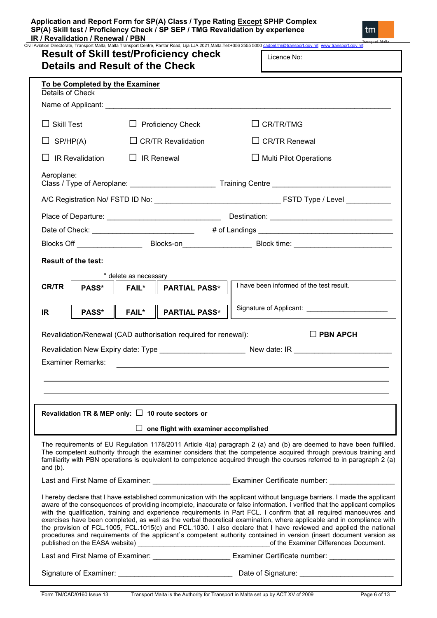| To be Completed by the Examiner<br>Details of Check |                                                                                                        |                                                                                                                                                                                                                                                                                                                                                                                                                                                                                                                                                                                                                                                                                                                                                                                                                                                                                                                                                                                                                                                                                                                                                                                                                                                                                                                                                  |
|-----------------------------------------------------|--------------------------------------------------------------------------------------------------------|--------------------------------------------------------------------------------------------------------------------------------------------------------------------------------------------------------------------------------------------------------------------------------------------------------------------------------------------------------------------------------------------------------------------------------------------------------------------------------------------------------------------------------------------------------------------------------------------------------------------------------------------------------------------------------------------------------------------------------------------------------------------------------------------------------------------------------------------------------------------------------------------------------------------------------------------------------------------------------------------------------------------------------------------------------------------------------------------------------------------------------------------------------------------------------------------------------------------------------------------------------------------------------------------------------------------------------------------------|
| $\Box$ Skill Test                                   | $\Box$ Proficiency Check                                                                               | $\Box$ CR/TR/TMG                                                                                                                                                                                                                                                                                                                                                                                                                                                                                                                                                                                                                                                                                                                                                                                                                                                                                                                                                                                                                                                                                                                                                                                                                                                                                                                                 |
| $\Box$ SP/HP(A)                                     | $\Box$ CR/TR Revalidation                                                                              | $\Box$ CR/TR Renewal                                                                                                                                                                                                                                                                                                                                                                                                                                                                                                                                                                                                                                                                                                                                                                                                                                                                                                                                                                                                                                                                                                                                                                                                                                                                                                                             |
| $\Box$ IR Revalidation                              | $\Box$ IR Renewal                                                                                      | $\Box$ Multi Pilot Operations                                                                                                                                                                                                                                                                                                                                                                                                                                                                                                                                                                                                                                                                                                                                                                                                                                                                                                                                                                                                                                                                                                                                                                                                                                                                                                                    |
| Aeroplane:                                          |                                                                                                        |                                                                                                                                                                                                                                                                                                                                                                                                                                                                                                                                                                                                                                                                                                                                                                                                                                                                                                                                                                                                                                                                                                                                                                                                                                                                                                                                                  |
|                                                     |                                                                                                        |                                                                                                                                                                                                                                                                                                                                                                                                                                                                                                                                                                                                                                                                                                                                                                                                                                                                                                                                                                                                                                                                                                                                                                                                                                                                                                                                                  |
|                                                     |                                                                                                        |                                                                                                                                                                                                                                                                                                                                                                                                                                                                                                                                                                                                                                                                                                                                                                                                                                                                                                                                                                                                                                                                                                                                                                                                                                                                                                                                                  |
|                                                     |                                                                                                        |                                                                                                                                                                                                                                                                                                                                                                                                                                                                                                                                                                                                                                                                                                                                                                                                                                                                                                                                                                                                                                                                                                                                                                                                                                                                                                                                                  |
|                                                     |                                                                                                        | Blocks Off __________________________Blocks-on__________________________Block time: __________________________                                                                                                                                                                                                                                                                                                                                                                                                                                                                                                                                                                                                                                                                                                                                                                                                                                                                                                                                                                                                                                                                                                                                                                                                                                   |
| <b>PASS*</b><br>IR.                                 | <b>FAIL*</b><br><b>PARTIAL PASS*</b><br>Revalidation/Renewal (CAD authorisation required for renewal): | Signature of Applicant: __________________________<br>$\square$ PBN APCH<br>Revalidation New Expiry date: Type _____________________________New date: IR _______________________                                                                                                                                                                                                                                                                                                                                                                                                                                                                                                                                                                                                                                                                                                                                                                                                                                                                                                                                                                                                                                                                                                                                                                 |
| <b>Examiner Remarks:</b>                            |                                                                                                        |                                                                                                                                                                                                                                                                                                                                                                                                                                                                                                                                                                                                                                                                                                                                                                                                                                                                                                                                                                                                                                                                                                                                                                                                                                                                                                                                                  |
| and $(b)$ .                                         | Revalidation TR & MEP only: $\Box$ 10 route sectors or<br>$\Box$ one flight with examiner accomplished |                                                                                                                                                                                                                                                                                                                                                                                                                                                                                                                                                                                                                                                                                                                                                                                                                                                                                                                                                                                                                                                                                                                                                                                                                                                                                                                                                  |
|                                                     |                                                                                                        |                                                                                                                                                                                                                                                                                                                                                                                                                                                                                                                                                                                                                                                                                                                                                                                                                                                                                                                                                                                                                                                                                                                                                                                                                                                                                                                                                  |
|                                                     |                                                                                                        | The requirements of EU Regulation 1178/2011 Article 4(a) paragraph 2 (a) and (b) are deemed to have been fulfilled.<br>The competent authority through the examiner considers that the competence acquired through previous training and<br>familiarity with PBN operations is equivalent to competence acquired through the courses referred to in paragraph 2 (a)<br>Last and First Name of Examiner: _______________________ Examiner Certificate number: ______________<br>I hereby declare that I have established communication with the applicant without language barriers. I made the applicant<br>aware of the consequences of providing incomplete, inaccurate or false information. I verified that the applicant complies<br>with the qualification, training and experience requirements in Part FCL. I confirm that all required manoeuvres and<br>exercises have been completed, as well as the verbal theoretical examination, where applicable and in compliance with<br>the provision of FCL.1005, FCL.1015(c) and FCL.1030. I also declare that I have reviewed and applied the national<br>procedures and requirements of the applicant's competent authority contained in version (insert document version as<br>Last and First Name of Examiner: __________________________Examiner Certificate number: _________________ |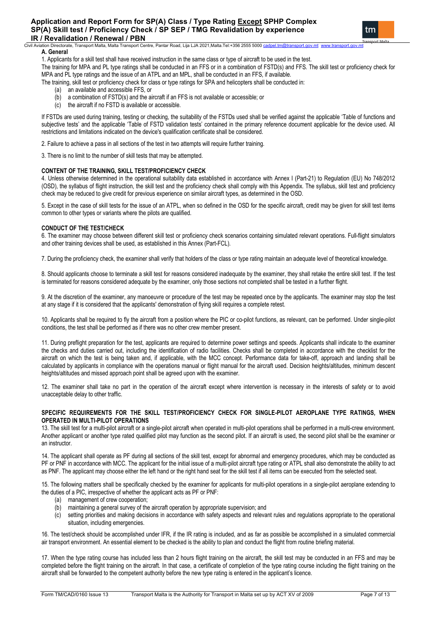Civil Aviation Directorate, Transport Malta, Malta Transport Centre, Pantar Road, Lija LJA 2021,Malta.Tel:+356 2555 5000 **A. General** 

1. Applicants for a skill test shall have received instruction in the same class or type of aircraft to be used in the test.

The training for MPA and PL type ratings shall be conducted in an FFS or in a combination of FSTD(s) and FFS. The skill test or proficiency check for MPA and PL type ratings and the issue of an ATPL and an MPL, shall be conducted in an FFS, if available.

The training, skill test or proficiency check for class or type ratings for SPA and helicopters shall be conducted in:

- (a) an available and accessible FFS, or
- (b) a combination of FSTD(s) and the aircraft if an FFS is not available or accessible; or
- (c) the aircraft if no FSTD is available or accessible.

If FSTDs are used during training, testing or checking, the suitability of the FSTDs used shall be verified against the applicable 'Table of functions and subjective tests' and the applicable 'Table of FSTD validation tests' contained in the primary reference document applicable for the device used. All restrictions and limitations indicated on the device's qualification certificate shall be considered.

2. Failure to achieve a pass in all sections of the test in two attempts will require further training.

3. There is no limit to the number of skill tests that may be attempted.

## **CONTENT OF THE TRAINING, SKILL TEST/PROFICIENCY CHECK**

4. Unless otherwise determined in the operational suitability data established in accordance with Annex I (Part-21) to Regulation (EU) No 748/2012 (OSD), the syllabus of flight instruction, the skill test and the proficiency check shall comply with this Appendix. The syllabus, skill test and proficiency check may be reduced to give credit for previous experience on similar aircraft types, as determined in the OSD.

5. Except in the case of skill tests for the issue of an ATPL, when so defined in the OSD for the specific aircraft, credit may be given for skill test items common to other types or variants where the pilots are qualified.

## **CONDUCT OF THE TEST/CHECK**

6. The examiner may choose between different skill test or proficiency check scenarios containing simulated relevant operations. Full-flight simulators and other training devices shall be used, as established in this Annex (Part-FCL).

7. During the proficiency check, the examiner shall verify that holders of the class or type rating maintain an adequate level of theoretical knowledge.

8. Should applicants choose to terminate a skill test for reasons considered inadequate by the examiner, they shall retake the entire skill test. If the test is terminated for reasons considered adequate by the examiner, only those sections not completed shall be tested in a further flight.

9. At the discretion of the examiner, any manoeuvre or procedure of the test may be repeated once by the applicants. The examiner may stop the test at any stage if it is considered that the applicants' demonstration of flying skill requires a complete retest.

10. Applicants shall be required to fly the aircraft from a position where the PIC or co-pilot functions, as relevant, can be performed. Under single-pilot conditions, the test shall be performed as if there was no other crew member present.

11. During preflight preparation for the test, applicants are required to determine power settings and speeds. Applicants shall indicate to the examiner the checks and duties carried out, including the identification of radio facilities. Checks shall be completed in accordance with the checklist for the aircraft on which the test is being taken and, if applicable, with the MCC concept. Performance data for take-off, approach and landing shall be calculated by applicants in compliance with the operations manual or flight manual for the aircraft used. Decision heights/altitudes, minimum descent heights/altitudes and missed approach point shall be agreed upon with the examiner.

12. The examiner shall take no part in the operation of the aircraft except where intervention is necessary in the interests of safety or to avoid unacceptable delay to other traffic.

## **SPECIFIC REQUIREMENTS FOR THE SKILL TEST/PROFICIENCY CHECK FOR SINGLE-PILOT AEROPLANE TYPE RATINGS, WHEN OPERATED IN MULTI-PILOT OPERATIONS**

13. The skill test for a multi-pilot aircraft or a single-pilot aircraft when operated in multi-pilot operations shall be performed in a multi-crew environment. Another applicant or another type rated qualified pilot may function as the second pilot. If an aircraft is used, the second pilot shall be the examiner or an instructor.

14. The applicant shall operate as PF during all sections of the skill test, except for abnormal and emergency procedures, which may be conducted as PF or PNF in accordance with MCC. The applicant for the initial issue of a multi-pilot aircraft type rating or ATPL shall also demonstrate the ability to act as PNF. The applicant may choose either the left hand or the right hand seat for the skill test if all items can be executed from the selected seat.

15. The following matters shall be specifically checked by the examiner for applicants for multi-pilot operations in a single-pilot aeroplane extending to the duties of a PIC, irrespective of whether the applicant acts as PF or PNF:

- 
- (a) management of crew cooperation;<br>(b) maintaining a general survey of the maintaining a general survey of the aircraft operation by appropriate supervision; and
- (c) setting priorities and making decisions in accordance with safety aspects and relevant rules and regulations appropriate to the operational situation, including emergencies.

16. The test/check should be accomplished under IFR, if the IR rating is included, and as far as possible be accomplished in a simulated commercial air transport environment. An essential element to be checked is the ability to plan and conduct the flight from routine briefing material.

17. When the type rating course has included less than 2 hours flight training on the aircraft, the skill test may be conducted in an FFS and may be completed before the flight training on the aircraft. In that case, a certificate of completion of the type rating course including the flight training on the aircraft shall be forwarded to the competent authority before the new type rating is entered in the applicant's licence.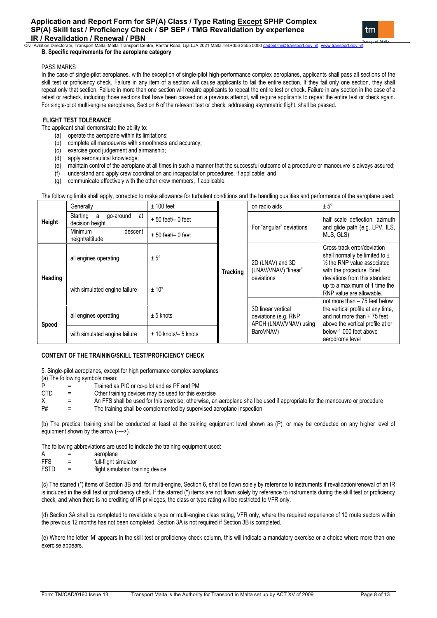.<br>ation Directorate, Transport Malta, Malta Transport Centre, Pantar Road, Lija LJA 2021,Malta.Tel:+356 2555 5000 **B. Specific requirements for the aeroplane category** 

## PASS MARKS

In the case of single-pilot aeroplanes, with the exception of single-pilot high-performance complex aeroplanes, applicants shall pass all sections of the skill test or proficiency check. Failure in any item of a section will cause applicants to fail the entire section. If they fail only one section, they shall repeat only that section. Failure in more than one section will require applicants to repeat the entire test or check. Failure in any section in the case of a retest or recheck, including those sections that have been passed on a previous attempt, will require applicants to repeat the entire test or check again. For single-pilot multi-engine aeroplanes, Section 6 of the relevant test or check, addressing asymmetric flight, shall be passed.

# **FLIGHT TEST TOLERANCE**

The applicant shall demonstrate the ability to:

- (a) operate the aeroplane within its limitations;
- (b) complete all manoeuvres with smoothness and accuracy;<br>(c) exercise good judgement and airmanship;
- exercise good judgement and airmanship;
- (d) apply aeronautical knowledge;
- (e) maintain control of the aeroplane at all times in such a manner that the successful outcome of a procedure or manoeuvre is always assured;<br>(f) understand and apply crew coordination and incapacitation procedures, if a
- understand and apply crew coordination and incapacitation procedures, if applicable; and
- (g) communicate effectively with the other crew members, if applicable.

The following limits shall apply, corrected to make allowance for turbulent conditions and the handling qualities and performance of the aeroplane used:

|              | Generally                                           | $± 100$ feet            |                 | on radio aids                                                        | $± 5^\circ$                                                                                                                    |  |
|--------------|-----------------------------------------------------|-------------------------|-----------------|----------------------------------------------------------------------|--------------------------------------------------------------------------------------------------------------------------------|--|
| Height       | Starting<br>at<br>go-around<br>a<br>decision height | $+50$ feet/ $-0$ feet   |                 | For "angular" deviations                                             | half scale deflection, azimuth<br>and glide path (e.g. LPV, ILS,<br>MLS, GLS)                                                  |  |
|              | <b>Minimum</b><br>descent<br>height/altitude        | $+50$ feet/ $-0$ feet   |                 |                                                                      |                                                                                                                                |  |
|              | all engines operating                               | $± 5^\circ$             | <b>Tracking</b> | 2D (LNAV) and 3D<br>(LNAV/VNAV) "linear"                             | Cross track error/deviation<br>shall normally be limited to $\pm$<br>1/2 the RNP value associated<br>with the procedure. Brief |  |
| Heading      | with simulated engine failure                       | $± 10^{\circ}$          |                 | deviations                                                           | deviations from this standard<br>up to a maximum of 1 time the<br>RNP value are allowable.                                     |  |
|              |                                                     |                         |                 |                                                                      | not more than $-75$ feet below                                                                                                 |  |
| <b>Speed</b> | all engines operating                               | $± 5$ knots             |                 | 3D linear vertical<br>deviations (e.g. RNP<br>APCH (LNAV/VNAV) using | the vertical profile at any time,<br>and not more than + 75 feet<br>above the vertical profile at or                           |  |
|              | with simulated engine failure                       | $+10$ knots/ $-5$ knots |                 | BaroVNAV)                                                            | below 1 000 feet above<br>aerodrome level                                                                                      |  |

# **CONTENT OF THE TRAINING/SKILL TEST/PROFICIENCY CHECK**

5. Single-pilot aeroplanes, except for high performance complex aeroplanes (a) The following symbols mean:<br>P

- P = Trained as PIC or co-pilot and as PF and PM<br>OTD = Other training devices may be used for this ex-
- Other training devices may be used for this exercise
- $X =$  An FFS shall be used for this exercise; otherwise, an aeroplane shall be used if appropriate for the manoeuvre or procedure  $P\#$ The training shall be complemented by supervised aeroplane inspection

(b) The practical training shall be conducted at least at the training equipment level shown as (P), or may be conducted on any higher level of equipment shown by the arrow (---->).

The following abbreviations are used to indicate the training equipment used:

- $A =$  aeroplane<br>FFS = full-flight si
- FFS = full-flight simulator<br>FSTD = flight simulation tra
- $=$  flight simulation training device

(c) The starred (\*) items of Section 3B and, for multi-engine, Section 6, shall be flown solely by reference to instruments if revalidation/renewal of an IR is included in the skill test or proficiency check. If the starred (\*) items are not flown solely by reference to instruments during the skill test or proficiency check, and when there is no crediting of IR privileges, the class or type rating will be restricted to VFR only.

(d) Section 3A shall be completed to revalidate a type or multi-engine class rating, VFR only, where the required experience of 10 route sectors within the previous 12 months has not been completed. Section 3A is not required if Section 3B is completed.

(e) Where the letter 'M' appears in the skill test or proficiency check column, this will indicate a mandatory exercise or a choice where more than one exercise appears.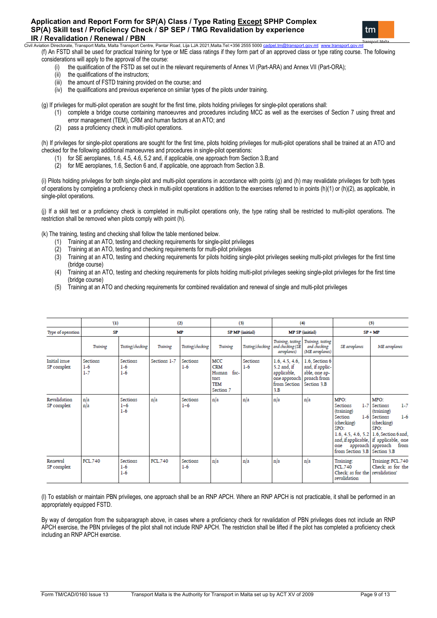# **Application and Report Form for SP(A) Class / Type Rating Except SPHP Complex SP(A) Skill test / Proficiency Check / SP SEP / TMG Revalidation by experience IR / Revalidation / Renewal / PBN**<br>Civil Aviation Directorate, Transport Malta, Malta Transport Ce



.<br>Iation Directorate, Transport Malta, Malta Transport Centre, Pantar Road, Lija LJA 2021,Malta.Tel:+356 2555 5000

(f) An FSTD shall be used for practical training for type or ME class ratings if they form part of an approved class or type rating course. The following considerations will apply to the approval of the course:<br>(i) the qualification of the FSTD as set out in the

- the qualification of the FSTD as set out in the relevant requirements of Annex VI (Part-ARA) and Annex VII (Part-ORA);
- (ii) the qualifications of the instructors;<br>(iii) the amount of FSTD training provid
- the amount of FSTD training provided on the course; and
- (iv) the qualifications and previous experience on similar types of the pilots under training.

(g) If privileges for multi-pilot operation are sought for the first time, pilots holding privileges for single-pilot operations shall:

- (1) complete a bridge course containing manoeuvres and procedures including MCC as well as the exercises of Section 7 using threat and error management (TEM), CRM and human factors at an ATO; and
- (2) pass a proficiency check in multi-pilot operations.

(h) If privileges for single-pilot operations are sought for the first time, pilots holding privileges for multi-pilot operations shall be trained at an ATO and checked for the following additional manoeuvres and procedures in single-pilot operations:

- (1) for SE aeroplanes, 1.6, 4.5, 4.6, 5.2 and, if applicable, one approach from Section 3.B;and
- $(2)$  for ME aeroplanes, 1.6, Section 6 and, if applicable, one approach from Section 3.B.

(i) Pilots holding privileges for both single-pilot and multi-pilot operations in accordance with points (g) and (h) may revalidate privileges for both types of operations by completing a proficiency check in multi-pilot operations in addition to the exercises referred to in points (h)(1) or (h)(2), as applicable, in single-pilot operations.

(j) If a skill test or a proficiency check is completed in multi-pilot operations only, the type rating shall be restricted to multi-pilot operations. The restriction shall be removed when pilots comply with point (h).

(k) The training, testing and checking shall follow the table mentioned below.

- (1) Training at an ATO, testing and checking requirements for single-pilot privileges
- (2) Training at an ATO, testing and checking requirements for multi-pilot privileges
- (3) Training at an ATO, testing and checking requirements for pilots holding single-pilot privileges seeking multi-pilot privileges for the first time (bridge course)
- (4) Training at an ATO, testing and checking requirements for pilots holding multi-pilot privileges seeking single-pilot privileges for the first time (bridge course)
- (5) Training at an ATO and checking requirements for combined revalidation and renewal of single and multi-pilot privileges

|                                    | (1)                          |                                     |                | (2)                      |                                                                       | (3)                    |                                                                                     | (4)                                                                              |                                                                                                               | (5)                                                                                                                                                                                                          |
|------------------------------------|------------------------------|-------------------------------------|----------------|--------------------------|-----------------------------------------------------------------------|------------------------|-------------------------------------------------------------------------------------|----------------------------------------------------------------------------------|---------------------------------------------------------------------------------------------------------------|--------------------------------------------------------------------------------------------------------------------------------------------------------------------------------------------------------------|
| Type of operation                  | <b>SP</b>                    |                                     |                | MP                       |                                                                       | <b>SP MP</b> (initial) |                                                                                     | <b>MP SP</b> (initial)                                                           |                                                                                                               | $SP + MP$                                                                                                                                                                                                    |
|                                    | Training                     | Testing/checking                    | Training       | Testing/checking         | Training                                                              | Testing/checking       | Training, testing<br>and checking (SE<br>aeroplanes)                                | Training, testing<br>and checking<br>(ME aeroplanes)                             | SE aeroplanes                                                                                                 | ME aeroplanes                                                                                                                                                                                                |
| <b>Initial</b> issue<br>SP complex | Sections<br>$1-6$<br>$1 - 7$ | Sections<br>$1-6$<br>$1-6$          | Sections 1-7   | Sections<br>$1-6$        | MCC<br><b>CRM</b><br>fac-<br>Human<br>tors<br><b>TEM</b><br>Section 7 | Sections<br>$1-6$      | 1.6, 4.5, 4.6,<br>5.2 and, if<br>applicable,<br>one approach<br>from Section<br>3.B | 1.6. Section 6<br>and, if applic-<br>able, one ap-<br>proach from<br>Section 3.B |                                                                                                               |                                                                                                                                                                                                              |
| Revalidation<br>SP complex         | n/a<br>n/a                   | <b>Sections</b><br>$1 - 6$<br>$1-6$ | n/a            | Sections<br>$1 - 6$      | n/a                                                                   | n/a                    | n/a                                                                                 | n/a                                                                              | MPO:<br><b>Sections</b><br>(training)<br>Section<br>(checking)<br>SPO:<br>one<br>from Section 3.B Section 3.B | MPO:<br>$1 - 7$<br>1-7 Sections<br>(training)<br>1-6 Sections<br>$1-6$<br>(checking)<br>SPO:<br>1.6, 4.5, 4.6, 5.2 1.6, Section 6 and<br>and, if applicable, if applicable, one<br>approach approach<br>from |
| Renewal<br>SP complex              | <b>FCL.740</b>               | Sections<br>$1-6$<br>$1-6$          | <b>FCL.740</b> | <b>Sections</b><br>$1-6$ | n/a                                                                   | n/a                    | n/a                                                                                 | n/a                                                                              | Training:<br>FCL.740<br>Check: as for the revalidation'<br>revalidation                                       | Training: FCL.740<br>Check: as for the                                                                                                                                                                       |

(l) To establish or maintain PBN privileges, one approach shall be an RNP APCH. Where an RNP APCH is not practicable, it shall be performed in an appropriately equipped FSTD.

By way of derogation from the subparagraph above, in cases where a proficiency check for revalidation of PBN privileges does not include an RNP APCH exercise, the PBN privileges of the pilot shall not include RNP APCH. The restriction shall be lifted if the pilot has completed a proficiency check including an RNP APCH exercise.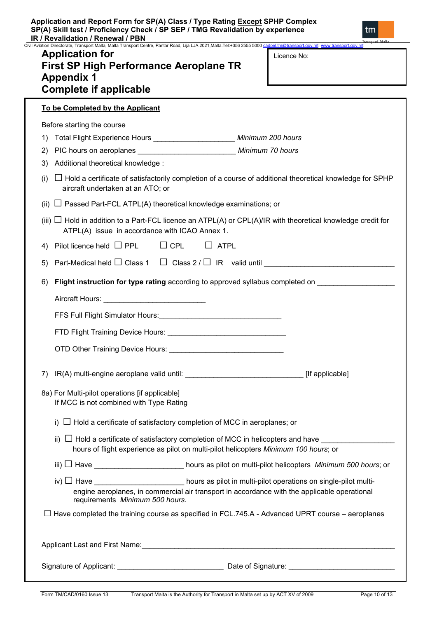Civil Aviation Directorate, Transport Malta, Malta Transport Centre, Pantar Road, Lija LJA 2021,Malta.Tel:+356 2555 5000 ca<br>Civil Aviation Directorate, Transport Malta, Malta Transport Centre, Pantar Road, Lija LJA 2021,Ma

# **Application for First SP High Performance Aeroplane TR Appendix 1 Complete if applicable**

| Licence No: |
|-------------|
|-------------|

**To be Completed by the Applicant** Before starting the course 1) Total Flight Experience Hours \_\_\_\_\_\_\_\_\_\_\_\_\_\_\_\_\_\_\_\_ *Minimum 200 hours* 2) PIC hours on aeroplanes \_\_\_\_\_\_\_\_\_\_\_\_\_\_\_\_\_\_\_\_\_\_\_\_ *Minimum 70 hours* 3) Additional theoretical knowledge : (i) **□** Hold a certificate of satisfactorily completion of a course of additional theoretical knowledge for SPHP aircraft undertaken at an ATO; or (ii) **□** Passed Part-FCL ATPL(A) theoretical knowledge examinations; or (iii) **□** Hold in addition to a Part-FCL licence an ATPL(A) or CPL(A)/IR with theoretical knowledge credit for ATPL(A) issue in accordance with ICAO Annex 1. 4) Pilot licence held **□** PPL **□** CPL **□** ATPL 5) Part-Medical held □ Class 1 □ Class 2 / □ IR valid until 6) **Flight instruction for type rating** according to approved syllabus completed on \_\_\_\_\_\_\_\_\_\_\_\_\_\_\_\_\_\_\_ Aircraft Hours: \_\_\_\_\_\_\_\_\_\_\_\_\_\_\_\_\_\_\_\_\_\_\_\_\_ FFS Full Flight Simulator Hours:\_\_\_\_\_\_\_\_\_\_\_\_\_\_\_\_\_\_\_\_\_\_\_\_\_\_\_\_\_\_ FTD Flight Training Device Hours: \_\_\_\_\_\_\_\_\_\_\_\_\_\_\_\_\_\_\_\_\_\_\_\_\_\_\_\_\_ OTD Other Training Device Hours: \_\_\_\_\_\_\_\_\_\_\_\_\_\_\_\_\_\_\_\_\_\_\_\_\_\_\_\_ 7) IR(A) multi-engine aeroplane valid until: \_\_\_\_\_\_\_\_\_\_\_\_\_\_\_\_\_\_\_\_\_\_\_\_\_\_\_\_\_ [If applicable] 8a) For Multi-pilot operations [if applicable] If MCC is not combined with Type Rating i) **□** Hold a certificate of satisfactory completion of MCC in aeroplanes; or ii)  $\Box$  Hold a certificate of satisfactory completion of MCC in helicopters and have hours of flight experience as pilot on multi-pilot helicopters *Minimum 100 hours*; or iii) **□** Have \_\_\_\_\_\_\_\_\_\_\_\_\_\_\_\_\_\_\_\_\_\_ hours as pilot on multi-pilot helicopters *Minimum 500 hours*; or iv) **□** Have \_\_\_\_\_\_\_\_\_\_\_\_\_\_\_\_\_\_\_\_\_\_ hours as pilot in multi-pilot operations on single-pilot multiengine aeroplanes, in commercial air transport in accordance with the applicable operational requirements *Minimum 500 hours*. **□** Have completed the training course as specified in FCL.745.A - Advanced UPRT course – aeroplanes Applicant Last and First Name:\_\_\_\_\_\_\_\_\_\_\_\_\_\_\_\_\_\_\_\_\_\_\_\_\_\_\_\_\_\_\_\_\_\_\_\_\_\_\_\_\_\_\_\_\_\_\_\_\_\_\_\_\_\_\_\_\_\_\_\_\_\_

Signature of Applicant: <br>
Signature: <br>
Date of Signature: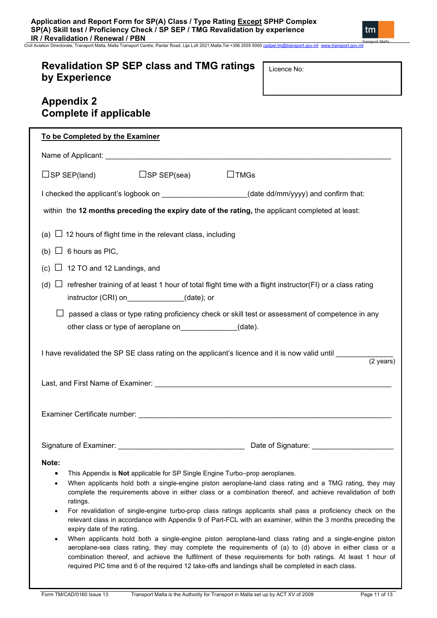**IR / Revalidation / Renewal / PBN** Civil Aviation Directorate, Transport Malta, Malta Transport Centre, Pantar Road, Lija LJA 2021,Malta.Tel:+356 2555 5000 [cadpel.tm@transport.gov.mt](mailto:cadpel.tm@transport.gov.mt) www.transport.gov.mt

# **Revalidation SP SEP class and TMG ratings by Experience**

Licence No:

| <b>Appendix 2</b><br><b>Complete if applicable</b>                             |                                                          |                                                                                                                                                                                                                                                                                                                                                                                                                                                                                                                                                                                                                                                                                                                                                                                                                                                                                                                                                                                |
|--------------------------------------------------------------------------------|----------------------------------------------------------|--------------------------------------------------------------------------------------------------------------------------------------------------------------------------------------------------------------------------------------------------------------------------------------------------------------------------------------------------------------------------------------------------------------------------------------------------------------------------------------------------------------------------------------------------------------------------------------------------------------------------------------------------------------------------------------------------------------------------------------------------------------------------------------------------------------------------------------------------------------------------------------------------------------------------------------------------------------------------------|
| To be Completed by the Examiner                                                |                                                          |                                                                                                                                                                                                                                                                                                                                                                                                                                                                                                                                                                                                                                                                                                                                                                                                                                                                                                                                                                                |
|                                                                                |                                                          |                                                                                                                                                                                                                                                                                                                                                                                                                                                                                                                                                                                                                                                                                                                                                                                                                                                                                                                                                                                |
| $\square$ SP SEP(land)                                                         | $\square$ SP SEP(sea)                                    | $\Box$ TMGs                                                                                                                                                                                                                                                                                                                                                                                                                                                                                                                                                                                                                                                                                                                                                                                                                                                                                                                                                                    |
|                                                                                |                                                          | I checked the applicant's logbook on ____________________(date dd/mm/yyyy) and confirm that:                                                                                                                                                                                                                                                                                                                                                                                                                                                                                                                                                                                                                                                                                                                                                                                                                                                                                   |
|                                                                                |                                                          | within the 12 months preceding the expiry date of the rating, the applicant completed at least:                                                                                                                                                                                                                                                                                                                                                                                                                                                                                                                                                                                                                                                                                                                                                                                                                                                                                |
| (a) $\Box$ 12 hours of flight time in the relevant class, including            |                                                          |                                                                                                                                                                                                                                                                                                                                                                                                                                                                                                                                                                                                                                                                                                                                                                                                                                                                                                                                                                                |
| (b) $\Box$ 6 hours as PIC,                                                     |                                                          |                                                                                                                                                                                                                                                                                                                                                                                                                                                                                                                                                                                                                                                                                                                                                                                                                                                                                                                                                                                |
| $\Box$ 12 TO and 12 Landings, and<br>(c)                                       |                                                          |                                                                                                                                                                                                                                                                                                                                                                                                                                                                                                                                                                                                                                                                                                                                                                                                                                                                                                                                                                                |
| (d)                                                                            | instructor (CRI) on______________(date); or              | $\Box$ refresher training of at least 1 hour of total flight time with a flight instructor(FI) or a class rating                                                                                                                                                                                                                                                                                                                                                                                                                                                                                                                                                                                                                                                                                                                                                                                                                                                               |
|                                                                                | other class or type of aeroplane on______________(date). | passed a class or type rating proficiency check or skill test or assessment of competence in any                                                                                                                                                                                                                                                                                                                                                                                                                                                                                                                                                                                                                                                                                                                                                                                                                                                                               |
|                                                                                |                                                          | I have revalidated the SP SE class rating on the applicant's licence and it is now valid until exception of<br>$\overline{(2 \text{ years})}$                                                                                                                                                                                                                                                                                                                                                                                                                                                                                                                                                                                                                                                                                                                                                                                                                                  |
|                                                                                |                                                          |                                                                                                                                                                                                                                                                                                                                                                                                                                                                                                                                                                                                                                                                                                                                                                                                                                                                                                                                                                                |
|                                                                                |                                                          |                                                                                                                                                                                                                                                                                                                                                                                                                                                                                                                                                                                                                                                                                                                                                                                                                                                                                                                                                                                |
|                                                                                |                                                          | Date of Signature: National Property of Signature:                                                                                                                                                                                                                                                                                                                                                                                                                                                                                                                                                                                                                                                                                                                                                                                                                                                                                                                             |
| Note:<br>$\bullet$<br>$\bullet$<br>ratings.<br>٠<br>expiry date of the rating. |                                                          | This Appendix is Not applicable for SP Single Engine Turbo-prop aeroplanes.<br>When applicants hold both a single-engine piston aeroplane-land class rating and a TMG rating, they may<br>complete the requirements above in either class or a combination thereof, and achieve revalidation of both<br>For revalidation of single-engine turbo-prop class ratings applicants shall pass a proficiency check on the<br>relevant class in accordance with Appendix 9 of Part-FCL with an examiner, within the 3 months preceding the<br>When applicants hold both a single-engine piston aeroplane-land class rating and a single-engine piston<br>aeroplane-sea class rating, they may complete the requirements of (a) to (d) above in either class or a<br>combination thereof, and achieve the fulfilment of these requirements for both ratings. At least 1 hour of<br>required PIC time and 6 of the required 12 take-offs and landings shall be completed in each class. |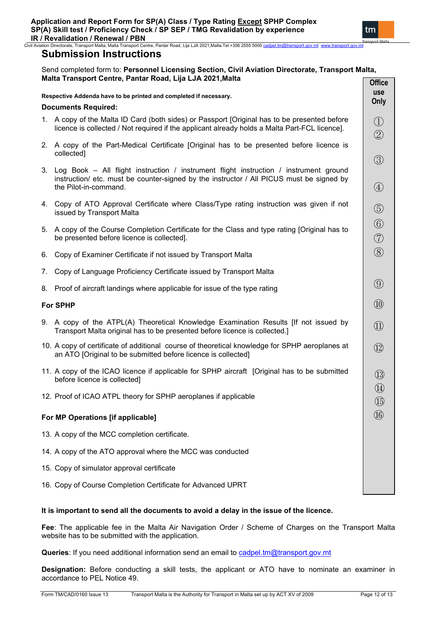|    |                                                                                                                                                                                                               | <b>OHICE</b>                   |
|----|---------------------------------------------------------------------------------------------------------------------------------------------------------------------------------------------------------------|--------------------------------|
|    | Respective Addenda have to be printed and completed if necessary.<br><b>Documents Required:</b>                                                                                                               | <b>use</b><br>Only             |
|    | 1. A copy of the Malta ID Card (both sides) or Passport [Original has to be presented before<br>licence is collected / Not required if the applicant already holds a Malta Part-FCL licence].                 | $\bigcirc$<br>$\circled{2}$    |
|    | 2. A copy of the Part-Medical Certificate [Original has to be presented before licence is<br>collected]                                                                                                       | $\circled{3}$                  |
|    | 3. Log Book – All flight instruction / instrument flight instruction / instrument ground<br>instruction/ etc. must be counter-signed by the instructor / All PICUS must be signed by<br>the Pilot-in-command. | $\bigcircled{4}$               |
|    | 4. Copy of ATO Approval Certificate where Class/Type rating instruction was given if not<br>issued by Transport Malta                                                                                         | $\circledS$                    |
|    | 5. A copy of the Course Completion Certificate for the Class and type rating [Original has to<br>be presented before licence is collected].                                                                   | $\circledS$<br>$\circled{7}$   |
| 6. | Copy of Examiner Certificate if not issued by Transport Malta                                                                                                                                                 | $\circledS$                    |
| 7. | Copy of Language Proficiency Certificate issued by Transport Malta                                                                                                                                            |                                |
|    | 8. Proof of aircraft landings where applicable for issue of the type rating                                                                                                                                   | $\circled{0}$                  |
|    | <b>For SPHP</b>                                                                                                                                                                                               | $\circled{1}$                  |
|    | 9. A copy of the ATPL(A) Theoretical Knowledge Examination Results [If not issued by<br>Transport Malta original has to be presented before licence is collected.]                                            | $\textcircled{1}$              |
|    | 10. A copy of certificate of additional course of theoretical knowledge for SPHP aeroplanes at<br>an ATO [Original to be submitted before licence is collected]                                               | $\circled{12}$                 |
|    | 11. A copy of the ICAO licence if applicable for SPHP aircraft [Original has to be submitted<br>before licence is collected]                                                                                  | $\bigcirc$                     |
|    | 12. Proof of ICAO ATPL theory for SPHP aeroplanes if applicable                                                                                                                                               | $\circled{4}$<br>$\circled{1}$ |
|    | For MP Operations [if applicable]                                                                                                                                                                             | $\left( \underline{1}6\right)$ |
|    | 13. A copy of the MCC completion certificate.                                                                                                                                                                 |                                |
|    | 14. A copy of the ATO approval where the MCC was conducted                                                                                                                                                    |                                |
|    | 15. Copy of simulator approval certificate                                                                                                                                                                    |                                |
|    | 16. Copy of Course Completion Certificate for Advanced UPRT                                                                                                                                                   |                                |

# **It is important to send all the documents to avoid a delay in the issue of the licence.**

**Fee**: The applicable fee in the Malta Air Navigation Order / Scheme of Charges on the Transport Malta website has to be submitted with the application.

Queries: If you need additional information send an email to [cadpel.tm@transport.gov.mt](mailto:cadpel.tm@transport.gov.mt)

**Designation:** Before conducting a skill tests, the applicant or ATO have to nominate an examiner in accordance to PEL Notice 49.

tm